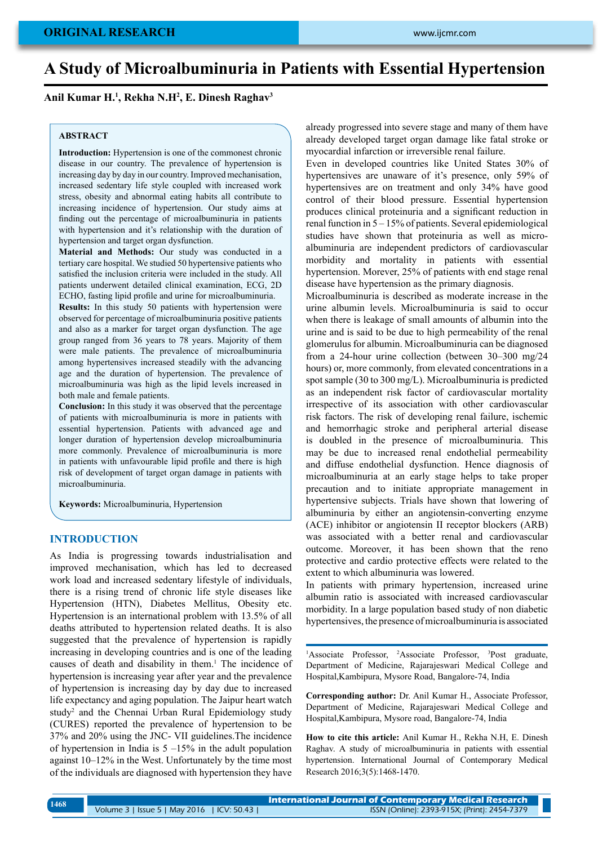# **A Study of Microalbuminuria in Patients with Essential Hypertension**

**Anil Kumar H.1 , Rekha N.H2 , E. Dinesh Raghav3**

### **ABSTRACT**

**Introduction:** Hypertension is one of the commonest chronic disease in our country. The prevalence of hypertension is increasing day by day in our country. Improved mechanisation, increased sedentary life style coupled with increased work stress, obesity and abnormal eating habits all contribute to increasing incidence of hypertension. Our study aims at finding out the percentage of microalbuminuria in patients with hypertension and it's relationship with the duration of hypertension and target organ dysfunction.

**Material and Methods:** Our study was conducted in a tertiary care hospital. We studied 50 hypertensive patients who satisfied the inclusion criteria were included in the study. All patients underwent detailed clinical examination, ECG, 2D ECHO, fasting lipid profile and urine for microalbuminuria.

**Results:** In this study 50 patients with hypertension were observed for percentage of microalbuminuria positive patients and also as a marker for target organ dysfunction. The age group ranged from 36 years to 78 years. Majority of them were male patients. The prevalence of microalbuminuria among hypertensives increased steadily with the advancing age and the duration of hypertension. The prevalence of microalbuminuria was high as the lipid levels increased in both male and female patients.

**Conclusion:** In this study it was observed that the percentage of patients with microalbuminuria is more in patients with essential hypertension. Patients with advanced age and longer duration of hypertension develop microalbuminuria more commonly. Prevalence of microalbuminuria is more in patients with unfavourable lipid profile and there is high risk of development of target organ damage in patients with microalbuminuria.

**Keywords:** Microalbuminuria, Hypertension

### **Introduction**

As India is progressing towards industrialisation and improved mechanisation, which has led to decreased work load and increased sedentary lifestyle of individuals, there is a rising trend of chronic life style diseases like Hypertension (HTN), Diabetes Mellitus, Obesity etc. Hypertension is an international problem with 13.5% of all deaths attributed to hypertension related deaths. It is also suggested that the prevalence of hypertension is rapidly increasing in developing countries and is one of the leading causes of death and disability in them.<sup>1</sup> The incidence of hypertension is increasing year after year and the prevalence of hypertension is increasing day by day due to increased life expectancy and aging population. The Jaipur heart watch study2 and the Chennai Urban Rural Epidemiology study (CURES) reported the prevalence of hypertension to be 37% and 20% using the JNC- VII guidelines.The incidence of hypertension in India is  $5 -15\%$  in the adult population against 10–12% in the West. Unfortunately by the time most of the individuals are diagnosed with hypertension they have

already progressed into severe stage and many of them have already developed target organ damage like fatal stroke or myocardial infarction or irreversible renal failure.

Even in developed countries like United States 30% of hypertensives are unaware of it's presence, only 59% of hypertensives are on treatment and only 34% have good control of their blood pressure. Essential hypertension produces clinical proteinuria and a significant reduction in renal function in 5 – 15% of patients. Several epidemiological studies have shown that proteinuria as well as microalbuminuria are independent predictors of cardiovascular morbidity and mortality in patients with essential hypertension. Morever, 25% of patients with end stage renal disease have hypertension as the primary diagnosis.

Microalbuminuria is described as moderate increase in the urine albumin levels. Microalbuminuria is said to occur when there is leakage of small amounts of albumin into the urine and is said to be due to high permeability of the renal glomerulus for albumin. Microalbuminuria can be diagnosed from a 24-hour urine collection (between 30–300 mg/24 hours) or, more commonly, from elevated concentrations in a spot sample (30 to 300 mg/L). Microalbuminuria is predicted as an independent risk factor of cardiovascular mortality irrespective of its association with other cardiovascular risk factors. The risk of developing renal failure, ischemic and hemorrhagic stroke and peripheral arterial disease is doubled in the presence of microalbuminuria. This may be due to increased renal endothelial permeability and diffuse endothelial dysfunction. Hence diagnosis of microalbuminuria at an early stage helps to take proper precaution and to initiate appropriate management in hypertensive subjects. Trials have shown that lowering of albuminuria by either an angiotensin-converting enzyme (ACE) inhibitor or angiotensin II receptor blockers (ARB) was associated with a better renal and cardiovascular outcome. Moreover, it has been shown that the reno protective and cardio protective effects were related to the extent to which albuminuria was lowered.

In patients with primary hypertension, increased urine albumin ratio is associated with increased cardiovascular morbidity. In a large population based study of non diabetic hypertensives, the presence of microalbuminuria is associated

<sup>1</sup>Associate Professor, <sup>2</sup>Associate Professor, <sup>3</sup>Post graduate, Department of Medicine, Rajarajeswari Medical College and Hospital,Kambipura, Mysore Road, Bangalore-74, India

**Corresponding author:** Dr. Anil Kumar H., Associate Professor, Department of Medicine, Rajarajeswari Medical College and Hospital,Kambipura, Mysore road, Bangalore-74, India

**How to cite this article:** Anil Kumar H., Rekha N.H, E. Dinesh Raghav. A study of microalbuminuria in patients with essential hypertension. International Journal of Contemporary Medical Research 2016;3(5):1468-1470.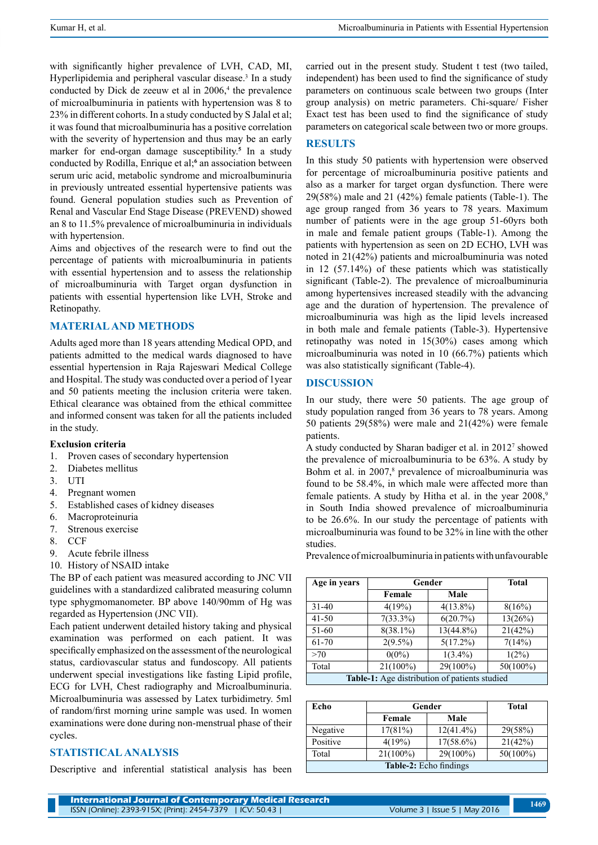with significantly higher prevalence of LVH, CAD, MI, Hyperlipidemia and peripheral vascular disease.<sup>3</sup> In a study conducted by Dick de zeeuw et al in  $2006<sup>4</sup>$ , the prevalence of microalbuminuria in patients with hypertension was 8 to 23% in different cohorts. In a study conducted by S Jalal et al; it was found that microalbuminuria has a positive correlation with the severity of hypertension and thus may be an early marker for end-organ damage susceptibility.**<sup>5</sup>** In a study conducted by Rodilla, Enrique et al;<sup>6</sup> an association between serum uric acid, metabolic syndrome and microalbuminuria in previously untreated essential hypertensive patients was found. General population studies such as Prevention of Renal and Vascular End Stage Disease (PREVEND) showed an 8 to 11.5% prevalence of microalbuminuria in individuals with hypertension.

Aims and objectives of the research were to find out the percentage of patients with microalbuminuria in patients with essential hypertension and to assess the relationship of microalbuminuria with Target organ dysfunction in patients with essential hypertension like LVH, Stroke and Retinopathy.

### **Material and methods**

Adults aged more than 18 years attending Medical OPD, and patients admitted to the medical wards diagnosed to have essential hypertension in Raja Rajeswari Medical College and Hospital. The study was conducted over a period of 1year and 50 patients meeting the inclusion criteria were taken. Ethical clearance was obtained from the ethical committee and informed consent was taken for all the patients included in the study.

#### **Exclusion criteria**

- 1. Proven cases of secondary hypertension
- 2. Diabetes mellitus
- 3. UTI
- 4. Pregnant women
- 5. Established cases of kidney diseases
- 6. Macroproteinuria
- 7. Strenous exercise
- 8. CCF
- 9. Acute febrile illness
- 10. History of NSAID intake

The BP of each patient was measured according to JNC VII guidelines with a standardized calibrated measuring column type sphygmomanometer. BP above 140/90mm of Hg was regarded as Hypertension (JNC VII).

Each patient underwent detailed history taking and physical examination was performed on each patient. It was specifically emphasized on the assessment of the neurological status, cardiovascular status and fundoscopy. All patients underwent special investigations like fasting Lipid profile, ECG for LVH, Chest radiography and Microalbuminuria. Microalbuminuria was assessed by Latex turbidimetry. 5ml of random/first morning urine sample was used. In women examinations were done during non-menstrual phase of their cycles.

# **Statistical analysis**

Descriptive and inferential statistical analysis has been

carried out in the present study. Student t test (two tailed, independent) has been used to find the significance of study parameters on continuous scale between two groups (Inter group analysis) on metric parameters. Chi-square/ Fisher Exact test has been used to find the significance of study parameters on categorical scale between two or more groups.

# **Results**

In this study 50 patients with hypertension were observed for percentage of microalbuminuria positive patients and also as a marker for target organ dysfunction. There were 29(58%) male and 21 (42%) female patients (Table-1). The age group ranged from 36 years to 78 years. Maximum number of patients were in the age group 51-60yrs both in male and female patient groups (Table-1). Among the patients with hypertension as seen on 2D ECHO, LVH was noted in 21(42%) patients and microalbuminuria was noted in 12 (57.14%) of these patients which was statistically significant (Table-2). The prevalence of microalbuminuria among hypertensives increased steadily with the advancing age and the duration of hypertension. The prevalence of microalbuminuria was high as the lipid levels increased in both male and female patients (Table-3). Hypertensive retinopathy was noted in 15(30%) cases among which microalbuminuria was noted in 10 (66.7%) patients which was also statistically significant (Table-4).

### **Discussion**

In our study, there were 50 patients. The age group of study population ranged from 36 years to 78 years. Among 50 patients 29(58%) were male and 21(42%) were female patients.

A study conducted by Sharan badiger et al. in 2012<sup>7</sup> showed the prevalence of microalbuminuria to be 63%. A study by Bohm et al. in 2007,<sup>8</sup> prevalence of microalbuminuria was found to be 58.4%, in which male were affected more than female patients. A study by Hitha et al. in the year 2008,<sup>9</sup> in South India showed prevalence of microalbuminuria to be 26.6%. In our study the percentage of patients with microalbuminuria was found to be 32% in line with the other studies.

Prevalence of microalbuminuria in patients with unfavourable

| Age in years                                  | Gender      | <b>Total</b> |             |  |
|-----------------------------------------------|-------------|--------------|-------------|--|
|                                               | Female      | Male         |             |  |
| $31 - 40$                                     | 4(19%)      | $4(13.8\%)$  | 8(16%)      |  |
| $41 - 50$                                     | $7(33.3\%)$ | 6(20.7%)     | 13(26%)     |  |
| 51-60                                         | $8(38.1\%)$ | $13(44.8\%)$ | 21(42%)     |  |
| 61-70                                         | $2(9.5\%)$  | $5(17.2\%)$  | 7(14%)      |  |
| >70                                           | $0(0\%)$    | $1(3.4\%)$   | $1(2\%)$    |  |
| Total                                         | $21(100\%)$ | 29(100%)     | $50(100\%)$ |  |
| Table-1: Age distribution of patients studied |             |              |             |  |

| Echo                          | Gender      | Total        |             |  |
|-------------------------------|-------------|--------------|-------------|--|
|                               | Female      | Male         |             |  |
| Negative                      | 17(81%)     | $12(41.4\%)$ | 29(58%)     |  |
| Positive                      | 4(19%)      | $17(58.6\%)$ | 21(42%)     |  |
| Total                         | $21(100\%)$ | 29(100%)     | $50(100\%)$ |  |
| <b>Table-2:</b> Echo findings |             |              |             |  |